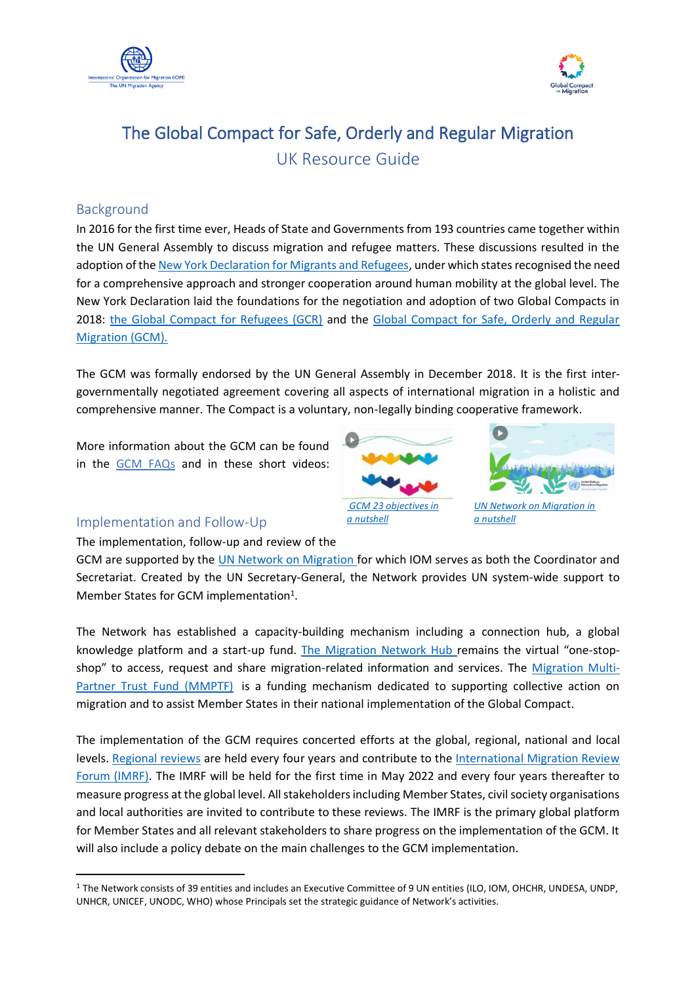



# The Global Compact for Safe, Orderly and Regular Migration UK Resource Guide

#### Background

In 2016 for the first time ever, Heads of State and Governments from 193 countries came together within the UN General Assembly to discuss migration and refugee matters. These discussions resulted in the adoption of th[e New York Declaration for Migrants and Refugees,](https://www.un.org/en/development/desa/population/migration/generalassembly/docs/globalcompact/A_RES_71_1.pdf) under which states recognised the need for a comprehensive approach and stronger cooperation around human mobility at the global level. The New York Declaration laid the foundations for the negotiation and adoption of two Global Compacts in 2018: [the Global Compact for Refugees \(GCR\)](https://www.unhcr.org/gcr/GCR_English.pdf) and the Global Compact for Safe, Orderly and Regular [Migration \(GCM\).](https://www.iom.int/resources/global-compact-safe-orderly-and-regular-migration/res/73/195)

The GCM was formally endorsed by the UN General Assembly in December 2018. It is the first intergovernmentally negotiated agreement covering all aspects of international migration in a holistic and comprehensive manner. The Compact is a voluntary, non-legally binding cooperative framework.

More information about the GCM can be found in the GCM FAQs [and in these short videos:](https://migrationnetwork.un.org/sites/default/files/resources_files/gcm_faq_english_-_final.pdf)





*UN Network on Migration in a nutshell*

#### Implementation and Follow-Up

The implementation, follow-up and review of the

GCM are supported by the [UN Network on Migration f](https://migrationnetwork.un.org/)or which IOM serves as both the Coordinator and Secretariat. Created by the UN Secretary-General, the Network provides UN system-wide support to Member States for GCM implementation<sup>1</sup>.

The Network has established a capacity-building mechanism including a connection hub, a global knowledge platform and a start-up fund. [The Migration Network Hub](https://migrationnetwork.un.org/hub) remains the virtual "one-stopshop" to access, request and share migration-related information and services. The [Migration Multi-](https://migrationnetwork.un.org/mptf)[Partner Trust Fund \(MMPTF\)](https://migrationnetwork.un.org/mptf) is a funding mechanism dedicated to supporting collective action on migration and to assist Member States in their national implementation of the Global Compact.

The implementation of the GCM requires concerted efforts at the global, regional, national and local levels. [Regional reviews](https://migrationnetwork.un.org/regional-reviews) are held every four years and contribute to the International Migration Review [Forum \(IMRF\).](https://migrationnetwork.un.org/international-migration-review-forum-2022) The IMRF will be held for the first time in May 2022 and every four years thereafter to measure progress at the global level. All stakeholders including Member States, civil society organisations and local authorities are invited to contribute to these reviews. The IMRF is the primary global platform for Member States and all relevant stakeholders to share progress on the implementation of the GCM. It will also include a policy debate on the main challenges to the GCM implementation.

<sup>&</sup>lt;sup>1</sup> The Network consists of 39 entities and includes an Executive Committee of 9 UN entities (ILO, IOM, OHCHR, UNDESA, UNDP, UNHCR, UNICEF, UNODC, WHO) whose Principals set the strategic guidance of Network's activities.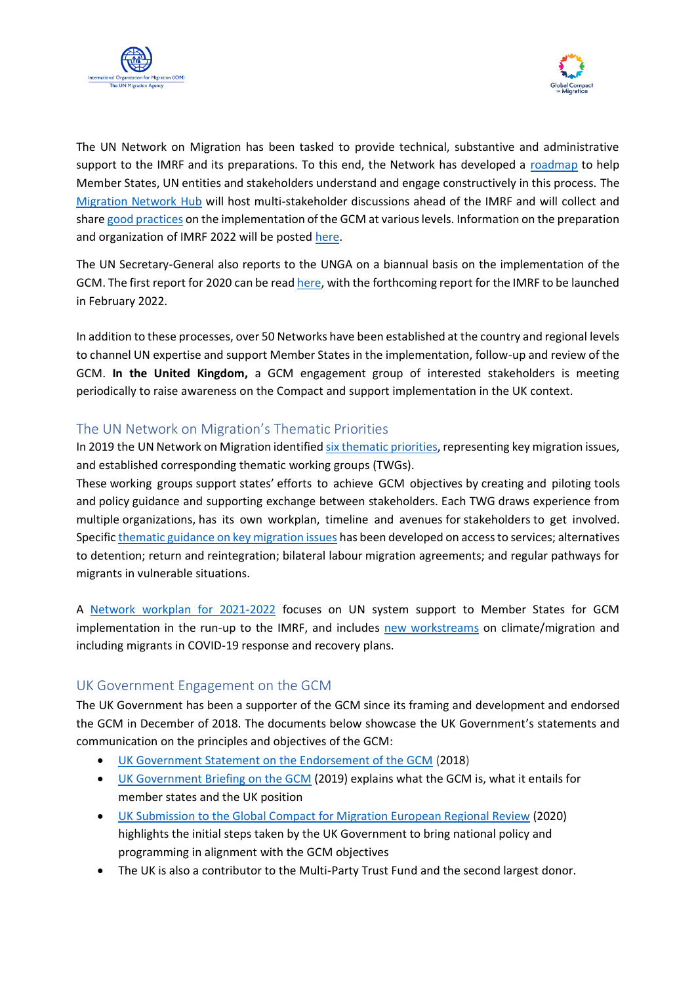



The UN Network on Migration has been tasked to provide technical, substantive and administrative support to the IMRF and its preparations. To this end, the Network has developed a [roadmap](https://migrationnetwork.un.org/sites/default/files/resources_files/imrf_roadmap_3_pages.pdf) to help Member States, UN entities and stakeholders understand and engage constructively in this process. The [Migration Network Hub](https://migrationnetwork.un.org/hub/forum?text=&gcm_objectives=All&cross_cutting_theme=All&geographic_scope=All®ion=All&country=All) will host multi-stakeholder discussions ahead of the IMRF and will collect and share good [practices](https://migrationnetwork.un.org/hub/repository-of-practices/about) on the implementation of the GCM at various levels. Information on the preparation and organization of IMRF 2022 will be posted [here.](https://www.un.org/migration2022)

The UN Secretary-General also reports to the UNGA on a biannual basis on the implementation of the GCM. The first report for 2020 can be read [here,](https://migrationnetwork.un.org/sg-report-promise-action) with the forthcoming report for the IMRF to be launched in February 2022.

In addition to these processes, over 50 Networks have been established at the country and regional levels to channel UN expertise and support Member States in the implementation, follow-up and review of the GCM. **In the United Kingdom,** a GCM engagement group of interested stakeholders is meeting periodically to raise awareness on the Compact and support implementation in the UK context.

#### The UN Network on Migration's Thematic Priorities

In 2019 the UN Network on Migration identified [six thematic priorities,](https://migrationnetwork.un.org/sites/default/files/documents/final_nw_workplan.pdf) representing key migration issues, and established corresponding thematic working groups (TWGs).

These working groups support states' efforts to achieve GCM objectives by creating and piloting tools and policy guidance and supporting exchange between stakeholders. Each TWG draws experience from multiple organizations, has its own workplan, timeline and avenues for stakeholders to get involved. Specifi[c thematic guidance on key migration issues](https://migrationnetwork.un.org/network-working-groups) has been developed on access to services; alternatives to detention; return and reintegration; bilateral labour migration agreements; and regular pathways for migrants in vulnerable situations.

A [Network workplan for 2021-2022](https://migrationnetwork.un.org/sites/default/files/docs/network_-_workplan_2021-2022_final.pdf) focuses on UN system support to Member States for GCM implementation in the run-up to the IMRF, and includes [new workstreams](https://migrationnetwork.un.org/about/united-nations-network-migration-workplan) on climate/migration and including migrants in COVID-19 response and recovery plans.

#### UK Government Engagement on the GCM

The UK Government has been a supporter of the GCM since its framing and development and endorsed the GCM in December of 2018. The documents below showcase the UK Government's statements and communication on the principles and objectives of the GCM:

- [UK Government Statement on the Endorsement of the GCM](https://questions-statements.parliament.uk/written-statements/detail/2018-12-10/HCWS1163) (2018)
- [UK Government Briefing on the GCM](https://commonslibrary.parliament.uk/research-briefings/cbp-8459/) (2019) explains what the GCM is, what it entails for member states and the UK position
- [UK Submission to the Global Compact for Migration European Regional Review](https://migrationnetwork.un.org/sites/default/files/docs/uk_submission_-_gcm_european_regional_review_.pdf) (2020) highlights the initial steps taken by the UK Government to bring national policy and programming in alignment with the GCM objectives
- The UK is also a contributor to the Multi-Party Trust Fund and the second largest donor.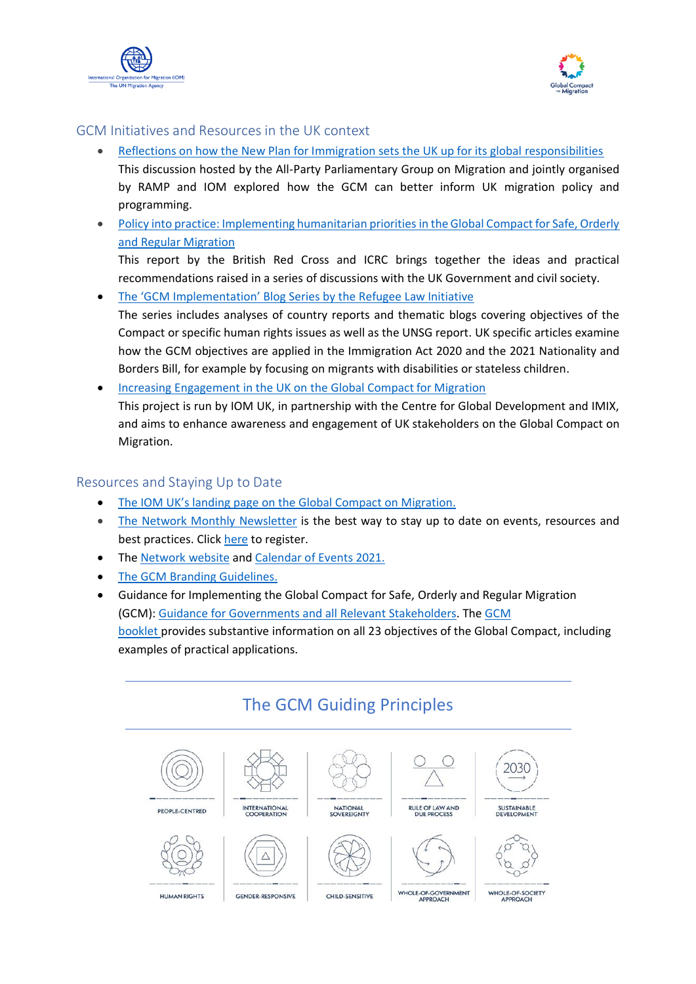



#### GCM Initiatives and Resources in the UK context

- [Reflections on how the New Plan for Immigration sets the UK up for its global responsibilities](https://appgmigration.org.uk/upcoming-appg-event-reflections-on-how-the-new-plan-for-immigration-sets-the-uk-up-for-its-global-responsibilities/) This discussion hosted by the All-Party Parliamentary Group on Migration and jointly organised by RAMP and IOM explored how the GCM can better inform UK migration policy and programming.
- Policy into practice: Implementing humanitarian priorities in the Global Compact for Safe, Orderly [and Regular Migration](https://www.redcross.org.uk/about-us/what-we-do/research-publications#International)

This report by the British Red Cross and ICRC brings together the ideas and practical recommendations raised in a series of discussions with the UK Government and civil society.

• [The 'GCM Implementation' Blog Series by the Refugee Law Initiative](https://rli.blogs.sas.ac.uk/themed-content/global-compact-for-migration/) The series includes analyses of country reports and thematic blogs covering objectives of the

Compact or specific human rights issues as well as the UNSG report. UK specific articles examine how the GCM objectives are applied in the Immigration Act 2020 and the 2021 Nationality and Borders Bill, for example by focusing on migrants with disabilities or stateless children.

• [Increasing Engagement in the UK on](https://unitedkingdom.iom.int/sites/unitedkingdom/files/uk_gcm_info_sheet.pdf) the Global Compact for Migration This project is run by IOM UK, in partnership with the Centre for Global Development and IMIX, and aims to enhance awareness and engagement of UK stakeholders on the Global Compact on Migration.

#### Resources and Staying Up to Date

- [The IOM UK's landing page on the Global Compact on Migration](https://unitedkingdom.iom.int/global-compact-migration-engagement).
- The Network [Monthly Newsletter](https://migrationnetwork.un.org/newsletters) is the best way to stay up to date on events, resources and best practices. Click [here](https://migrationnetwork.us19.list-manage.com/subscribe?u=91a1d870ca31df83b2b697cf6&id=9c7fcb90a4) to register.
- The [Network](https://migrationnetwork.un.org/) website and [Calendar of Events 2021.](https://migrationnetwork.un.org/calendar-events-2021)
- [The GCM Branding Guidelines.](https://migrationnetwork.un.org/sites/default/files/docs/gcm_branding-compresse_0.pdf)
- Guidance for Implementing the Global Compact for Safe, Orderly and Regular Migration (GCM): [Guidance](https://migrationnetwork.un.org/resources/implementing-global-compact-safe-orderly-and-regular-migration-gcm-guidance-governments) for [Governments and all Relevant Stakeholders.](https://migrationnetwork.un.org/resources/implementing-global-compact-safe-orderly-and-regular-migration-gcm-guidance-governments) The [GCM](https://migrationnetwork.un.org/resources/implementing-global-compact-safe-orderly-and-regular-migration-gcm-booklet)  [booklet](https://migrationnetwork.un.org/resources/implementing-global-compact-safe-orderly-and-regular-migration-gcm-booklet) provides substantive information on all 23 objectives of the Global Compact, including examples of practical applications.



### The GCM Guiding Principles